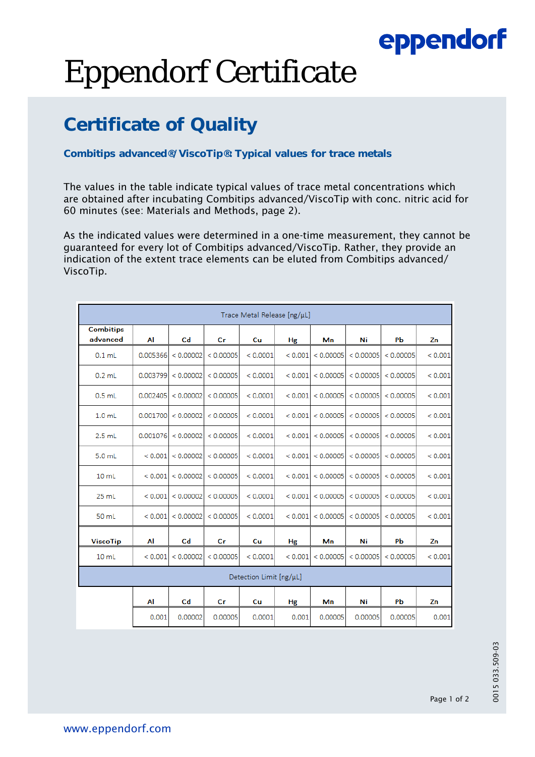## eppendorf

# Eppendorf Certificate

### **Certificate of Quality**

### **Combitips advanced®/ViscoTip®: Typical values for trace metals**

The values in the table indicate typical values of trace metal concentrations which are obtained after incubating Combitips advanced/ViscoTip with conc. nitric acid for 60 minutes (see: Materials and Methods, page 2).

As the indicated values were determined in a one-time measurement, they cannot be guaranteed for every lot of Combitips advanced/ViscoTip. Rather, they provide an indication of the extent trace elements can be eluted from Combitips advanced/ ViscoTip.

| Trace Metal Release [ng/µL]  |          |                |           |          |         |           |           |           |             |
|------------------------------|----------|----------------|-----------|----------|---------|-----------|-----------|-----------|-------------|
| <b>Combitips</b><br>advanced | Al       | C <sub>d</sub> | Сr        | Cu       | Hg      | Mn        | Ni        | PЬ        | Zn          |
| $0.1$ mL                     | 0.005366 | < 0.00002      | < 0.00005 | < 0.0001 | < 0.001 | < 0.00005 | < 0.00005 | < 0.00005 | < 0.001     |
| $0.2$ mL                     | 0.003799 | < 0.00002      | < 0.00005 | < 0.0001 | < 0.001 | < 0.00005 | < 0.00005 | < 0.00005 | ${}< 0.001$ |
| $0.5$ mL                     | 0.002405 | < 0.00002      | < 0.00005 | < 0.0001 | < 0.001 | < 0.00005 | < 0.00005 | < 0.00005 | < 0.001     |
| 1.0 <sub>mL</sub>            | 0.001700 | < 0.00002      | < 0.00005 | < 0.0001 | < 0.001 | < 0.00005 | < 0.00005 | < 0.00005 | < 0.001     |
| $2.5$ mL                     | 0.001076 | < 0.00002      | < 0.00005 | < 0.0001 | < 0.001 | < 0.00005 | < 0.00005 | < 0.00005 | ${}< 0.001$ |
| 5.0 <sub>mL</sub>            | < 0.001  | < 0.00002      | < 0.00005 | < 0.0001 | < 0.001 | < 0.00005 | < 0.00005 | < 0.00005 | < 0.001     |
| 10 <sub>mL</sub>             | < 0.001  | < 0.00002      | < 0.00005 | < 0.0001 | < 0.001 | < 0.00005 | < 0.00005 | < 0.00005 | ${}< 0.001$ |
| $25$ mL                      | < 0.001  | < 0.00002      | < 0.00005 | < 0.0001 | < 0.001 | < 0.00005 | < 0.00005 | < 0.00005 | < 0.001     |
| 50 mL                        | < 0.001  | < 0.00002      | < 0.00005 | < 0.0001 | < 0.001 | < 0.00005 | < 0.00005 | < 0.00005 | < 0.001     |
| <b>ViscoTip</b>              | Al       | Cd             | Сr        | Cu       | Hg      | Mn        | Ni        | PЬ        | Zn          |
| 10 <sub>ml</sub>             | < 0.001  | < 0.00002      | < 0.00005 | < 0.0001 | < 0.001 | < 0.00005 | < 0.00005 | < 0.00005 | < 0.001     |
| Detection Limit [ng/µL]      |          |                |           |          |         |           |           |           |             |
|                              | Al       | Cd             | Сr        | Cu       | Hg      | Mn        | Ni        | Pb        | Zn          |
|                              | 0.001    | 0.00002        | 0.00005   | 0.0001   | 0.001   | 0.00005   | 0.00005   | 0.00005   | 0.001       |